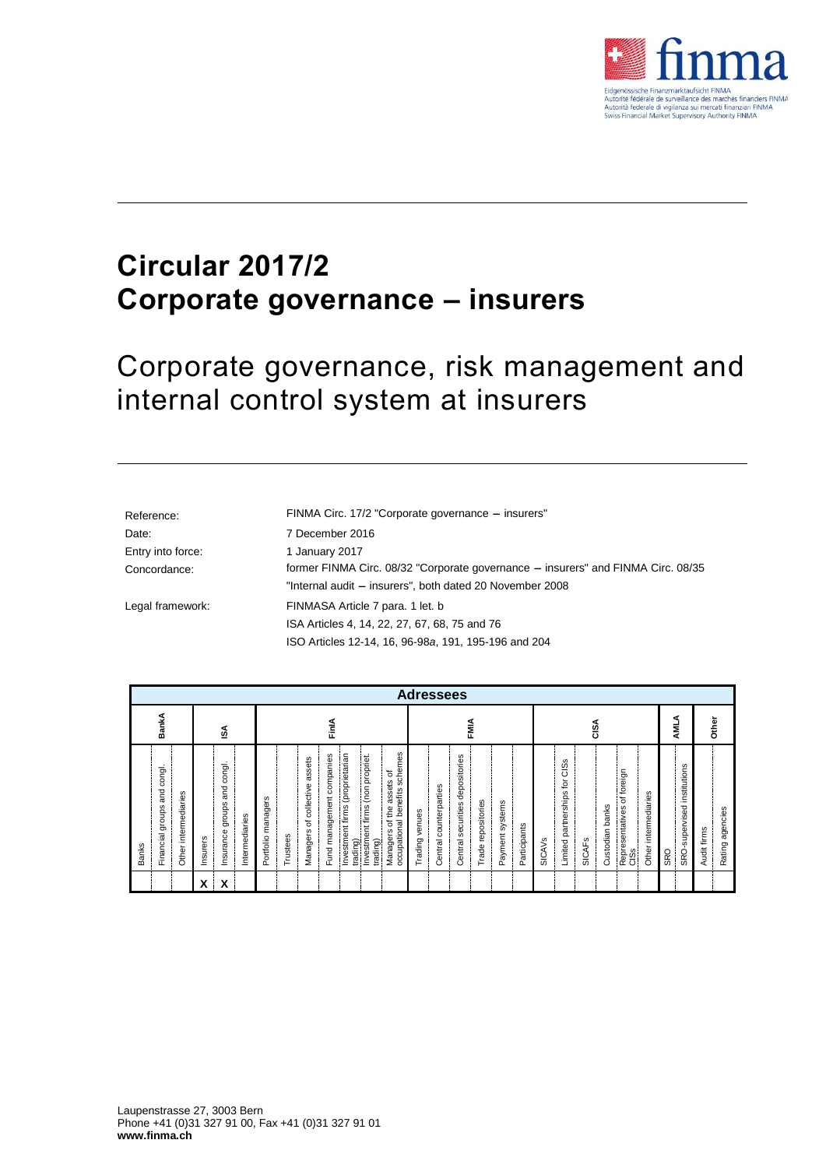

# **Circular 2017/2 Corporate governance – insurers**

Corporate governance, risk management and internal control system at insurers

| Reference:        | FINMA Circ. 17/2 "Corporate governance - insurers"                               |  |  |
|-------------------|----------------------------------------------------------------------------------|--|--|
| Date:             | 7 December 2016                                                                  |  |  |
| Entry into force: | 1 January 2017                                                                   |  |  |
| Concordance:      | former FINMA Circ. 08/32 "Corporate governance – insurers" and FINMA Circ. 08/35 |  |  |
|                   | "Internal audit - insurers", both dated 20 November 2008                         |  |  |
| Legal framework:  | FINMASA Article 7 para. 1 let. b                                                 |  |  |
|                   | ISA Articles 4, 14, 22, 27, 67, 68, 75 and 76                                    |  |  |
|                   | ISO Articles 12-14, 16, 96-98a, 191, 195-196 and 204                             |  |  |

| <b>Adressees</b>                                                                |                                                                                |                                                                                                                                                                                                                                                                   |                                                                                                                                            |                                                                                                                                                                                               |                                              |                                    |  |  |  |
|---------------------------------------------------------------------------------|--------------------------------------------------------------------------------|-------------------------------------------------------------------------------------------------------------------------------------------------------------------------------------------------------------------------------------------------------------------|--------------------------------------------------------------------------------------------------------------------------------------------|-----------------------------------------------------------------------------------------------------------------------------------------------------------------------------------------------|----------------------------------------------|------------------------------------|--|--|--|
| BankA                                                                           | ١SA                                                                            | FinlA                                                                                                                                                                                                                                                             | FMIA                                                                                                                                       | CISA                                                                                                                                                                                          | ⋖<br>₹                                       | Other                              |  |  |  |
| congl.<br>and<br>intermediaries<br>groups<br>Financial<br><b>Banks</b><br>Other | congl.<br>and<br>Insurance groups<br>Intermediaries<br>Insurers<br>X<br>v<br>л | schemes<br>Investment firms (proprietarian<br>Fund management companies<br>Investment firms (non propriet.<br>assets<br>assets of<br>Managers of collective<br>occupational benefits<br>Portfolio managers<br>Managers of the<br>Trustees<br>trading)<br>trading) | depositories<br>Central counterparties<br>Trade repositories<br>Payment systems<br>securities<br>Trading venues<br>Participants<br>Central | CISS<br>foreign<br>tor<br>partnerships<br>intermediaries<br>$\overline{\sigma}$<br>banks<br>Representatives<br>Custodian<br><b>SICAVS</b><br><b>SICAFS</b><br>Limited<br>Other<br>$rac{8}{5}$ | institutions<br>SRO-supervised<br><b>SRO</b> | agencies<br>Audit firms<br>Rating: |  |  |  |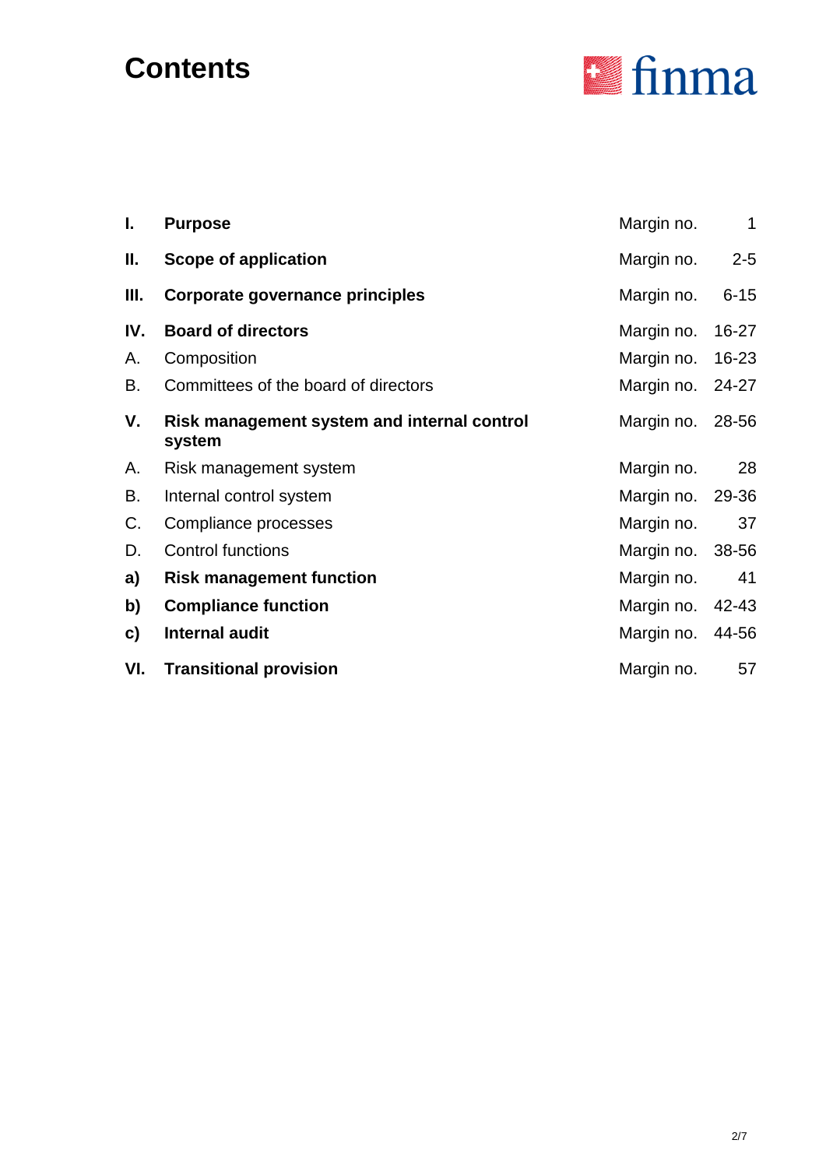# **Contents**



| I.  | <b>Purpose</b>                                        | Margin no.       | $\mathbf{1}$ |
|-----|-------------------------------------------------------|------------------|--------------|
| Ш.  | <b>Scope of application</b>                           | Margin no.       | $2 - 5$      |
| Ш.  | Corporate governance principles                       | Margin no.       | $6 - 15$     |
| IV. | <b>Board of directors</b>                             | Margin no.       | $16 - 27$    |
| А.  | Composition                                           | Margin no.       | 16-23        |
| В.  | Committees of the board of directors                  | Margin no. 24-27 |              |
| V.  | Risk management system and internal control<br>system | Margin no. 28-56 |              |
| А.  | Risk management system                                | Margin no.       | 28           |
| В.  | Internal control system                               | Margin no. 29-36 |              |
| C.  | Compliance processes                                  | Margin no.       | 37           |
| D.  | <b>Control functions</b>                              | Margin no.       | 38-56        |
| a)  | <b>Risk management function</b>                       | Margin no.       | 41           |
| b)  | <b>Compliance function</b>                            | Margin no.       | 42-43        |
| C)  | Internal audit                                        | Margin no.       | 44-56        |
| VI. | <b>Transitional provision</b>                         | Margin no.       | 57           |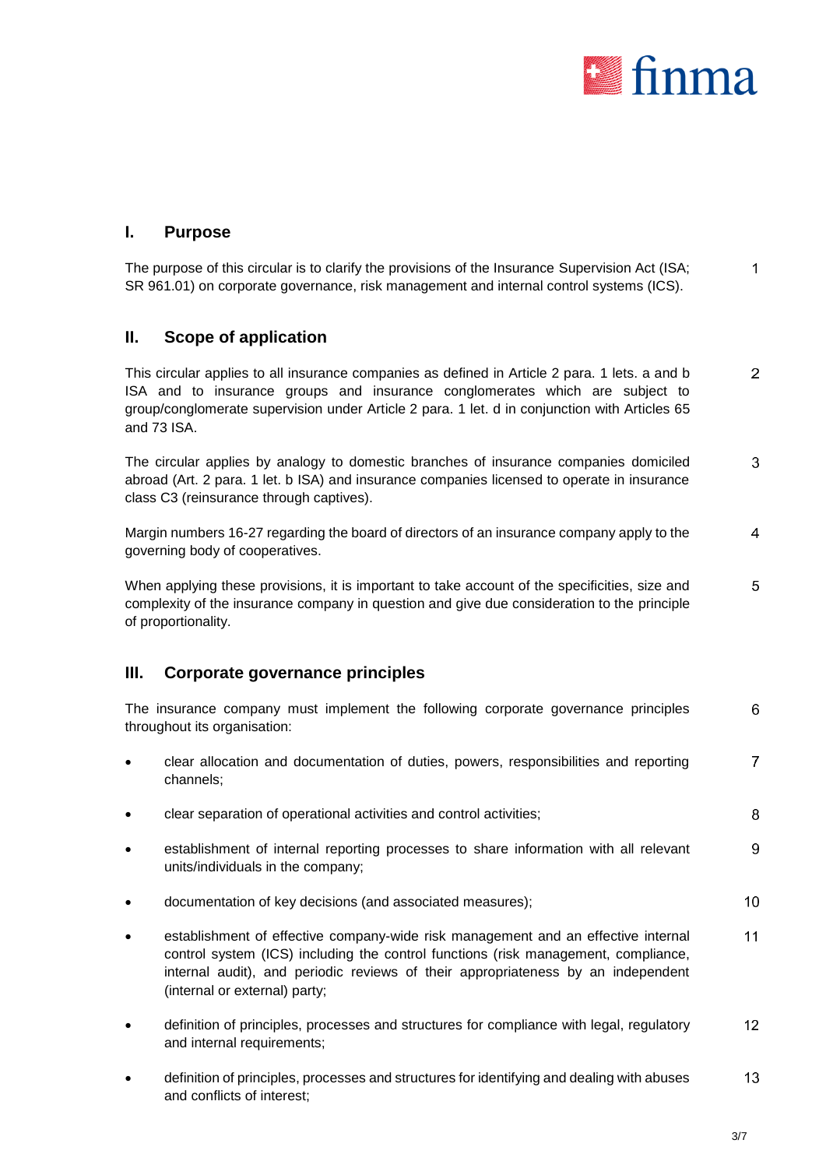<span id="page-2-0"></span>

# **I. Purpose**

The purpose of this circular is to clarify the provisions of the Insurance Supervision Act (ISA; 1 SR 961.01) on corporate governance, risk management and internal control systems (ICS).

# **II. Scope of application**

 $\overline{2}$ This circular applies to all insurance companies as defined in Article 2 para. 1 lets. a and b ISA and to insurance groups and insurance conglomerates which are subject to group/conglomerate supervision under Article 2 para. 1 let. d in conjunction with Articles 65 and 73 ISA.

The circular applies by analogy to domestic branches of insurance companies domiciled 3 abroad (Art. 2 para. 1 let. b ISA) and insurance companies licensed to operate in insurance class C3 (reinsurance through captives).

Margin numbers 16-27 regarding the board of directors of an insurance company apply to the 4 governing body of cooperatives.

5 When applying these provisions, it is important to take account of the specificities, size and complexity of the insurance company in question and give due consideration to the principle of proportionality.

## **III. Corporate governance principles**

The insurance company must implement the following corporate governance principles 6 throughout its organisation:

- $\overline{7}$  clear allocation and documentation of duties, powers, responsibilities and reporting channels;
- clear separation of operational activities and control activities;
- establishment of internal reporting processes to share information with all relevant 9 units/individuals in the company;
- documentation of key decisions (and associated measures);  $10$
- $11$  establishment of effective company-wide risk management and an effective internal control system (ICS) including the control functions (risk management, compliance, internal audit), and periodic reviews of their appropriateness by an independent (internal or external) party;
- definition of principles, processes and structures for compliance with legal, regulatory  $12$ and internal requirements;
- 13 definition of principles, processes and structures for identifying and dealing with abuses and conflicts of interest;

<span id="page-2-2"></span><span id="page-2-1"></span>8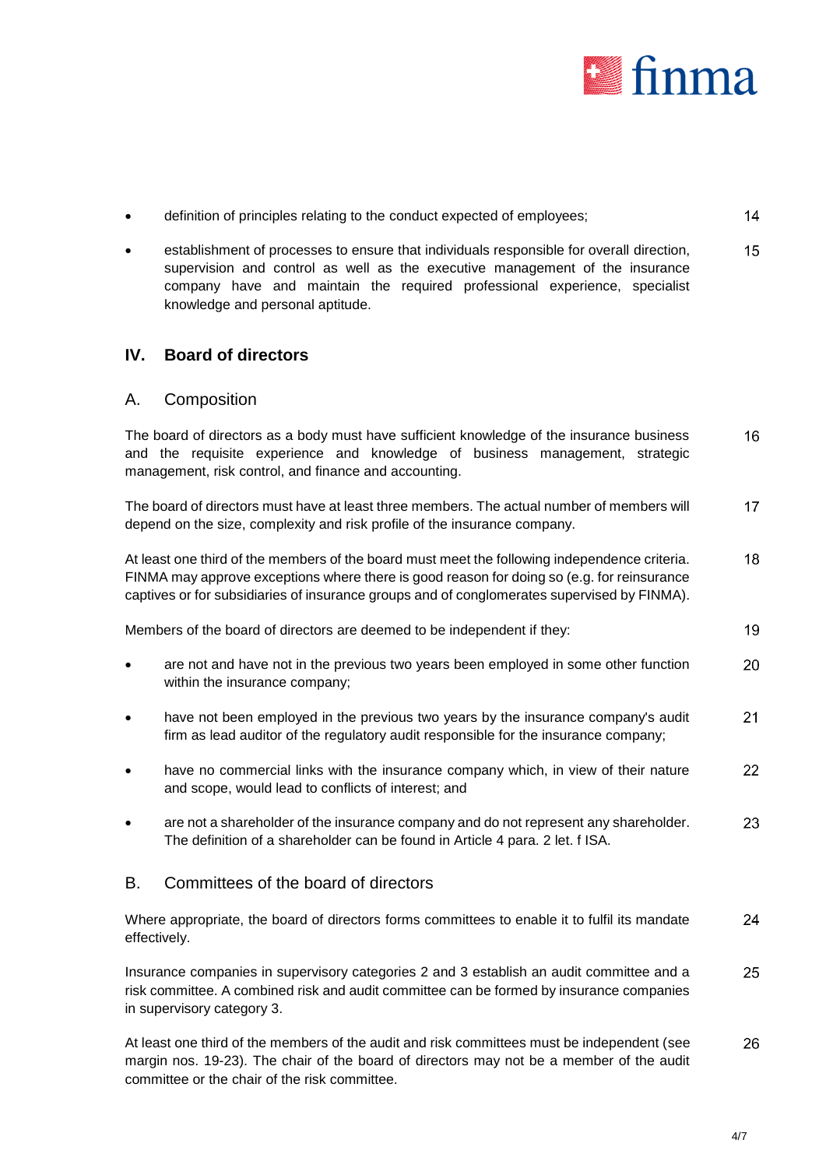<span id="page-3-0"></span>

- definition of principles relating to the conduct expected of employees;  $14$
- establishment of processes to ensure that individuals responsible for overall direction, 15 supervision and control as well as the executive management of the insurance company have and maintain the required professional experience, specialist knowledge and personal aptitude.

# **IV. Board of directors**

#### A. Composition

The board of directors as a body must have sufficient knowledge of the insurance business 16 and the requisite experience and knowledge of business management, strategic management, risk control, and finance and accounting.

The board of directors must have at least three members. The actual number of members will  $17$ depend on the size, complexity and risk profile of the insurance company.

At least one third of the members of the board must meet the following independence criteria. 18 FINMA may approve exceptions where there is good reason for doing so (e.g. for reinsurance captives or for subsidiaries of insurance groups and of conglomerates supervised by FINMA).

Members of the board of directors are deemed to be independent if they:

- are not and have not in the previous two years been employed in some other function 20 within the insurance company;
- have not been employed in the previous two years by the insurance company's audit 21 firm as lead auditor of the regulatory audit responsible for the insurance company;
- have no commercial links with the insurance company which, in view of their nature 22 and scope, would lead to conflicts of interest; and
- are not a shareholder of the insurance company and do not represent any shareholder. 23 The definition of a shareholder can be found in Article 4 para. 2 let. f ISA.

## B. Committees of the board of directors

24 Where appropriate, the board of directors forms committees to enable it to fulfil its mandate effectively.

25 Insurance companies in supervisory categories 2 and 3 establish an audit committee and a risk committee. A combined risk and audit committee can be formed by insurance companies in supervisory category 3.

At least one third of the members of the audit and risk committees must be independent (see 26 margin nos. [19](#page-3-4)[-23\)](#page-3-2). The chair of the board of directors may not be a member of the audit committee or the chair of the risk committee.

<span id="page-3-4"></span><span id="page-3-3"></span><span id="page-3-2"></span><span id="page-3-1"></span>19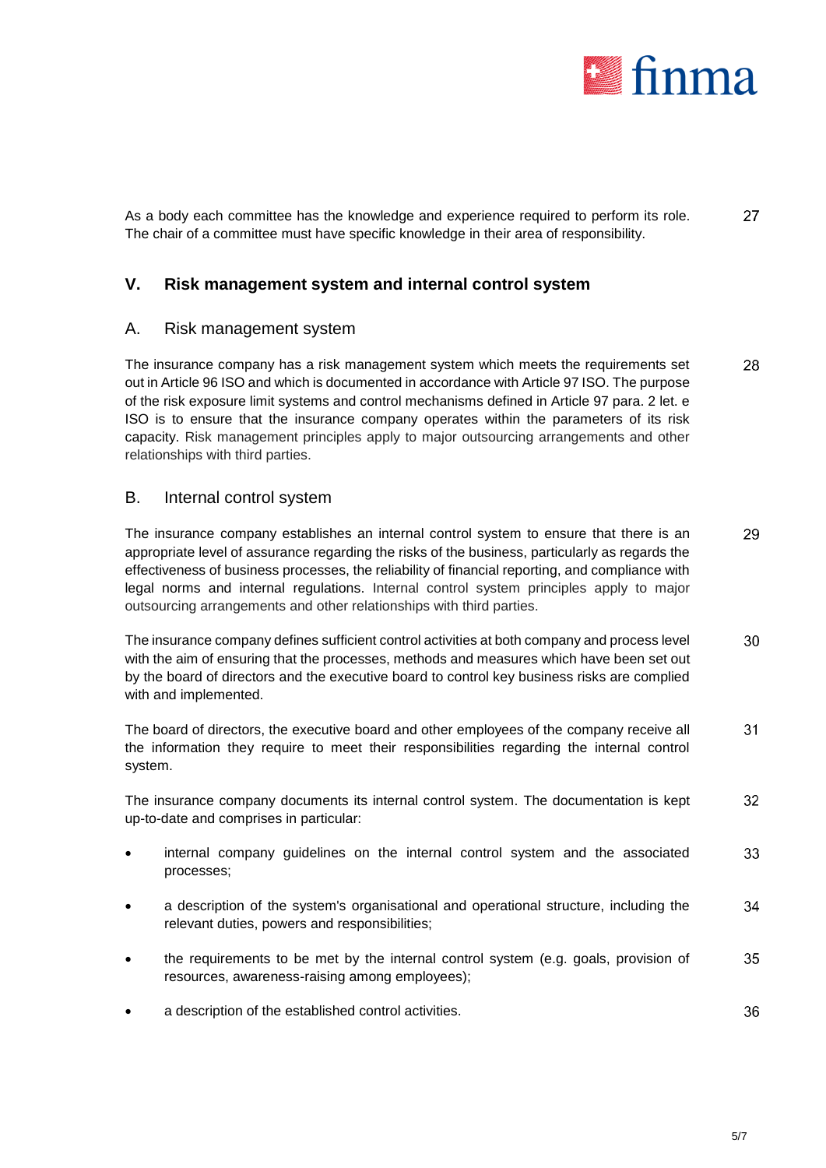<span id="page-4-2"></span><span id="page-4-1"></span><span id="page-4-0"></span>

As a body each committee has the knowledge and experience required to perform its role. 27 The chair of a committee must have specific knowledge in their area of responsibility.

# **V. Risk management system and internal control system**

## A. Risk management system

The insurance company has a risk management system which meets the requirements set 28 out in Article 96 ISO and which is documented in accordance with Article 97 ISO. The purpose of the risk exposure limit systems and control mechanisms defined in Article 97 para. 2 let. e ISO is to ensure that the insurance company operates within the parameters of its risk capacity. Risk management principles apply to major outsourcing arrangements and other relationships with third parties.

## B. Internal control system

The insurance company establishes an internal control system to ensure that there is an 29 appropriate level of assurance regarding the risks of the business, particularly as regards the effectiveness of business processes, the reliability of financial reporting, and compliance with legal norms and internal regulations. Internal control system principles apply to major outsourcing arrangements and other relationships with third parties.

The insurance company defines sufficient control activities at both company and process level 30 with the aim of ensuring that the processes, methods and measures which have been set out by the board of directors and the executive board to control key business risks are complied with and implemented.

The board of directors, the executive board and other employees of the company receive all 31 the information they require to meet their responsibilities regarding the internal control system.

The insurance company documents its internal control system. The documentation is kept 32 up-to-date and comprises in particular:

- internal company guidelines on the internal control system and the associated 33 processes;
- a description of the system's organisational and operational structure, including the 34 relevant duties, powers and responsibilities;
- <span id="page-4-3"></span> the requirements to be met by the internal control system (e.g. goals, provision of 35 resources, awareness-raising among employees);
- 36 a description of the established control activities.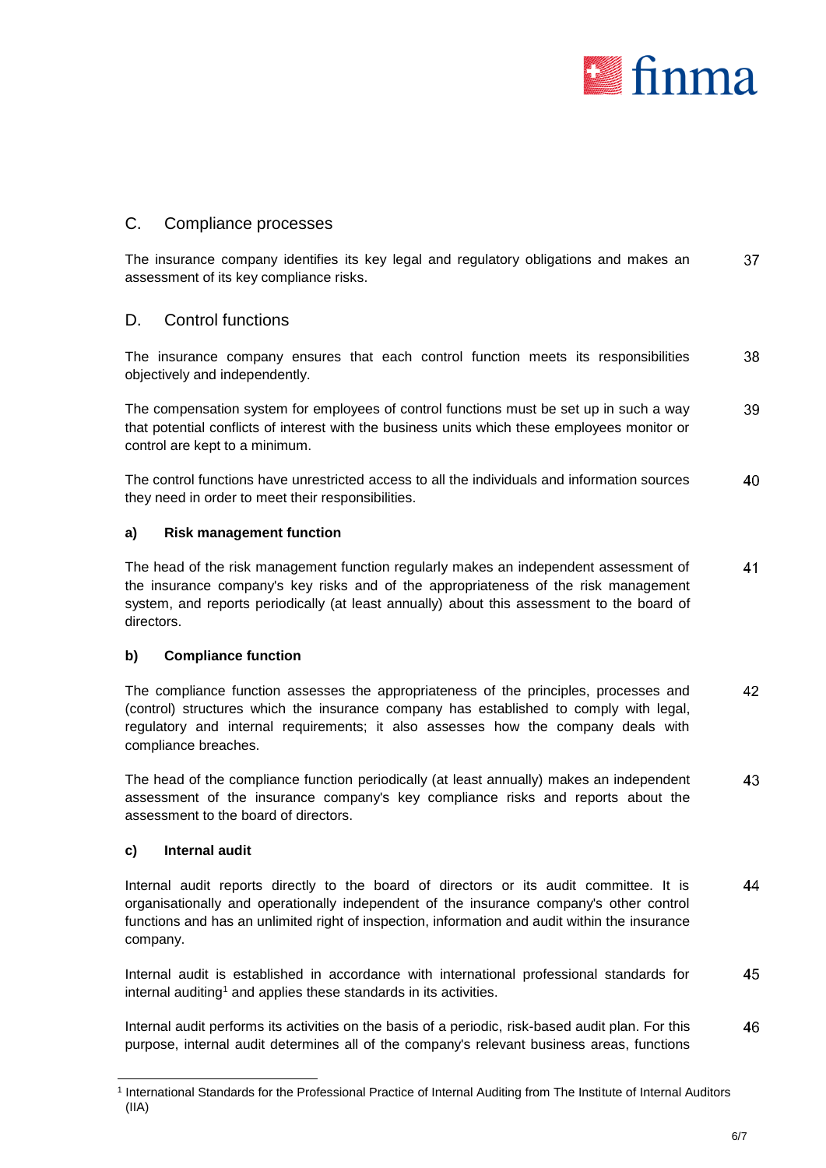<span id="page-5-2"></span><span id="page-5-1"></span><span id="page-5-0"></span>

# C. Compliance processes

The insurance company identifies its key legal and regulatory obligations and makes an 37 assessment of its key compliance risks.

# D. Control functions

38 The insurance company ensures that each control function meets its responsibilities objectively and independently.

The compensation system for employees of control functions must be set up in such a way 39 that potential conflicts of interest with the business units which these employees monitor or control are kept to a minimum.

The control functions have unrestricted access to all the individuals and information sources 40 they need in order to meet their responsibilities.

#### **a) Risk management function**

The head of the risk management function regularly makes an independent assessment of 41 the insurance company's key risks and of the appropriateness of the risk management system, and reports periodically (at least annually) about this assessment to the board of directors.

#### **b) Compliance function**

<span id="page-5-3"></span>42 The compliance function assesses the appropriateness of the principles, processes and (control) structures which the insurance company has established to comply with legal, regulatory and internal requirements; it also assesses how the company deals with compliance breaches.

<span id="page-5-4"></span>The head of the compliance function periodically (at least annually) makes an independent 43 assessment of the insurance company's key compliance risks and reports about the assessment to the board of directors.

#### **c) Internal audit**

-

<span id="page-5-5"></span>Internal audit reports directly to the board of directors or its audit committee. It is 44 organisationally and operationally independent of the insurance company's other control functions and has an unlimited right of inspection, information and audit within the insurance company.

Internal audit is established in accordance with international professional standards for 45 internal auditing<sup>1</sup> and applies these standards in its activities.

46 Internal audit performs its activities on the basis of a periodic, risk-based audit plan. For this purpose, internal audit determines all of the company's relevant business areas, functions

<sup>1</sup> International Standards for the Professional Practice of Internal Auditing from The Institute of Internal Auditors (IIA)